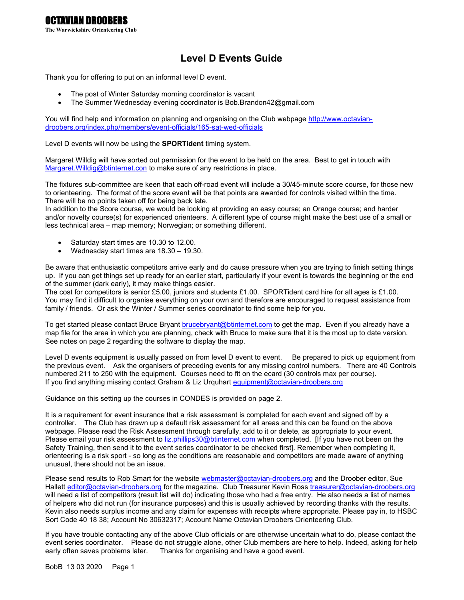# Level D Events Guide

Thank you for offering to put on an informal level D event.

- The post of Winter Saturday morning coordinator is vacant
- The Summer Wednesday evening coordinator is Bob.Brandon42@gmail.com

You will find help and information on planning and organising on the Club webpage http://www.octaviandroobers.org/index.php/members/event-officials/165-sat-wed-officials

Level D events will now be using the **SPORTident** timing system.

Margaret Willdig will have sorted out permission for the event to be held on the area. Best to get in touch with Margaret. Willdig@btinternet.con to make sure of any restrictions in place.

The fixtures sub-committee are keen that each off-road event will include a 30/45-minute score course, for those new to orienteering. The format of the score event will be that points are awarded for controls visited within the time. There will be no points taken off for being back late.

In addition to the Score course, we would be looking at providing an easy course; an Orange course; and harder and/or novelty course(s) for experienced orienteers. A different type of course might make the best use of a small or less technical area – map memory; Norwegian; or something different.

- Saturday start times are 10.30 to 12.00.
- Wednesday start times are 18.30 19.30.

Be aware that enthusiastic competitors arrive early and do cause pressure when you are trying to finish setting things up. If you can get things set up ready for an earlier start, particularly if your event is towards the beginning or the end of the summer (dark early), it may make things easier.

The cost for competitors is senior £5.00, juniors and students £1.00. SPORTident card hire for all ages is £1.00. You may find it difficult to organise everything on your own and therefore are encouraged to request assistance from family / friends. Or ask the Winter / Summer series coordinator to find some help for you.

To get started please contact Bruce Bryant brucebryant@btinternet.com to get the map. Even if you already have a map file for the area in which you are planning, check with Bruce to make sure that it is the most up to date version. See notes on page 2 regarding the software to display the map.

Level D events equipment is usually passed on from level D event to event. Be prepared to pick up equipment from the previous event. Ask the organisers of preceding events for any missing control numbers. There are 40 Controls numbered 211 to 250 with the equipment. Courses need to fit on the ecard (30 controls max per course). If you find anything missing contact Graham & Liz Urquhart equipment@octavian-droobers.org

Guidance on this setting up the courses in CONDES is provided on page 2.

It is a requirement for event insurance that a risk assessment is completed for each event and signed off by a controller. The Club has drawn up a default risk assessment for all areas and this can be found on the above webpage. Please read the Risk Assessment through carefully, add to it or delete, as appropriate to your event. Please email your risk assessment to liz.phillips30@btinternet.com when completed. [If you have not been on the Safety Training, then send it to the event series coordinator to be checked first]. Remember when completing it, orienteering is a risk sport - so long as the conditions are reasonable and competitors are made aware of anything unusual, there should not be an issue.

Please send results to Rob Smart for the website webmaster@octavian-droobers.org and the Droober editor, Sue Hallett editor@octavian-droobers.org for the magazine. Club Treasurer Kevin Ross treasurer@octavian-droobers.org will need a list of competitors (result list will do) indicating those who had a free entry. He also needs a list of names of helpers who did not run (for insurance purposes) and this is usually achieved by recording thanks with the results. Kevin also needs surplus income and any claim for expenses with receipts where appropriate. Please pay in, to HSBC Sort Code 40 18 38; Account No 30632317; Account Name Octavian Droobers Orienteering Club.

If you have trouble contacting any of the above Club officials or are otherwise uncertain what to do, please contact the event series coordinator. Please do not struggle alone, other Club members are here to help. Indeed, asking for help early often saves problems later. Thanks for organising and have a good event.

BobB 13 03 2020 Page 1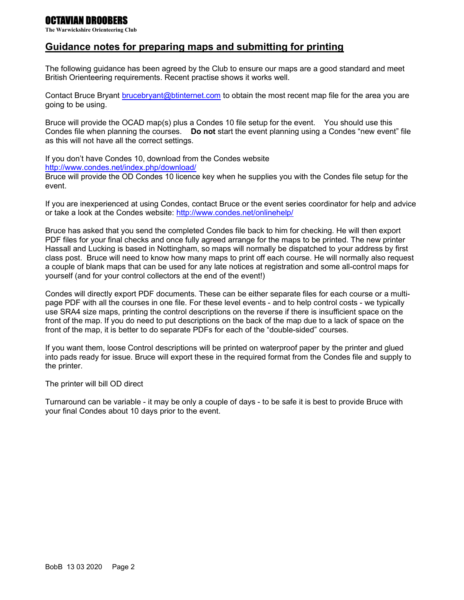## OCTAVIAN DROOBERS

The Warwickshire Orienteering Club

## Guidance notes for preparing maps and submitting for printing

The following guidance has been agreed by the Club to ensure our maps are a good standard and meet British Orienteering requirements. Recent practise shows it works well.

Contact Bruce Bryant brucebryant@btinternet.com to obtain the most recent map file for the area you are going to be using.

Bruce will provide the OCAD map(s) plus a Condes 10 file setup for the event. You should use this Condes file when planning the courses. Do not start the event planning using a Condes "new event" file as this will not have all the correct settings.

If you don't have Condes 10, download from the Condes website http://www.condes.net/index.php/download/

Bruce will provide the OD Condes 10 licence key when he supplies you with the Condes file setup for the event.

If you are inexperienced at using Condes, contact Bruce or the event series coordinator for help and advice or take a look at the Condes website: http://www.condes.net/onlinehelp/

Bruce has asked that you send the completed Condes file back to him for checking. He will then export PDF files for your final checks and once fully agreed arrange for the maps to be printed. The new printer Hassall and Lucking is based in Nottingham, so maps will normally be dispatched to your address by first class post. Bruce will need to know how many maps to print off each course. He will normally also request a couple of blank maps that can be used for any late notices at registration and some all-control maps for yourself (and for your control collectors at the end of the event!)

Condes will directly export PDF documents. These can be either separate files for each course or a multipage PDF with all the courses in one file. For these level events - and to help control costs - we typically use SRA4 size maps, printing the control descriptions on the reverse if there is insufficient space on the front of the map. If you do need to put descriptions on the back of the map due to a lack of space on the front of the map, it is better to do separate PDFs for each of the "double-sided" courses.

If you want them, loose Control descriptions will be printed on waterproof paper by the printer and glued into pads ready for issue. Bruce will export these in the required format from the Condes file and supply to the printer.

The printer will bill OD direct

Turnaround can be variable - it may be only a couple of days - to be safe it is best to provide Bruce with your final Condes about 10 days prior to the event.